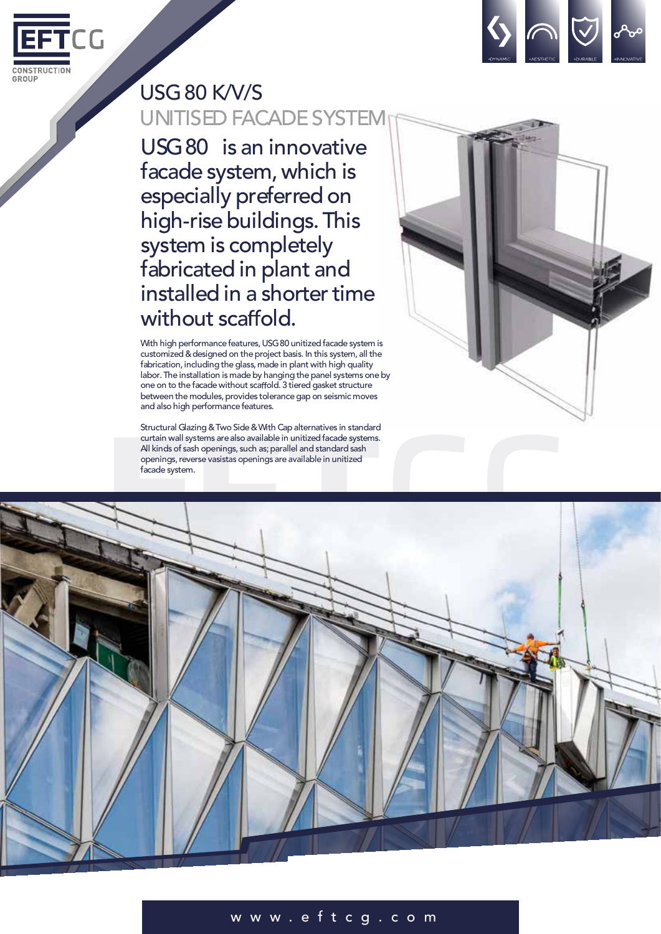



## USG80 K/V/S UNITISED FACADESYSTEM

USG80 is an innovative facade system,which is especially preferred on high-rise buildings. This system is completely fabricated in plant and installed in a shorter time without scaffold.

With high performance features, USG80 unitized facade system is customized &designed on theproject basis. In this system, all the fabrication, including the glass, made in plant with high quality labor.The installation is made by hanging the panel systems one by one on to the facade without scaffold. 3 tiered gasket structure between the modules, provides tolerance gap on seismic moves and also high performance features.

Structural Glazing &Two Side&With Cap alternatives in standard curtain wall systems are also available in unitized facade systems. All kinds of sash openings, such as; parallel and standard sash openings, reverse vasistas openings are available in unitized facade system.





## w w w . e f t c g . c o m